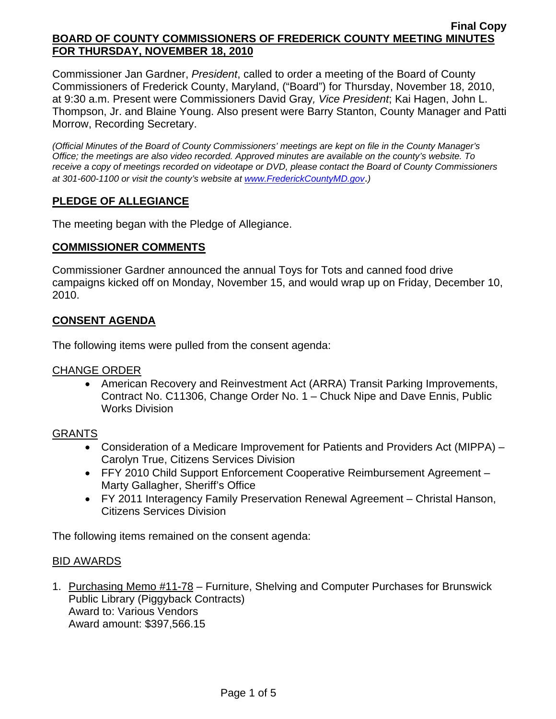Commissioner Jan Gardner, *President*, called to order a meeting of the Board of County Commissioners of Frederick County, Maryland, ("Board") for Thursday, November 18, 2010, at 9:30 a.m. Present were Commissioners David Gray*, Vice President*; Kai Hagen, John L. Thompson, Jr. and Blaine Young. Also present were Barry Stanton, County Manager and Patti Morrow, Recording Secretary.

*(Official Minutes of the Board of County Commissioners' meetings are kept on file in the County Manager's Office; the meetings are also video recorded. Approved minutes are available on the county's website. To receive a copy of meetings recorded on videotape or DVD, please contact the Board of County Commissioners at 301-600-1100 or visit the county's website at [www.FrederickCountyMD.gov](http://www.frederickcountymd.gov/)*.*)* 

# **PLEDGE OF ALLEGIANCE**

The meeting began with the Pledge of Allegiance.

### **COMMISSIONER COMMENTS**

Commissioner Gardner announced the annual Toys for Tots and canned food drive campaigns kicked off on Monday, November 15, and would wrap up on Friday, December 10, 2010.

## **CONSENT AGENDA**

The following items were pulled from the consent agenda:

#### CHANGE ORDER

• American Recovery and Reinvestment Act (ARRA) Transit Parking Improvements, Contract No. C11306, Change Order No. 1 – Chuck Nipe and Dave Ennis, Public Works Division

## GRANTS

- Consideration of a Medicare Improvement for Patients and Providers Act (MIPPA) Carolyn True, Citizens Services Division
- FFY 2010 Child Support Enforcement Cooperative Reimbursement Agreement Marty Gallagher, Sheriff's Office
- FY 2011 Interagency Family Preservation Renewal Agreement Christal Hanson, Citizens Services Division

The following items remained on the consent agenda:

#### BID AWARDS

1. Purchasing Memo #11-78 – Furniture, Shelving and Computer Purchases for Brunswick Public Library (Piggyback Contracts) Award to: Various Vendors Award amount: \$397,566.15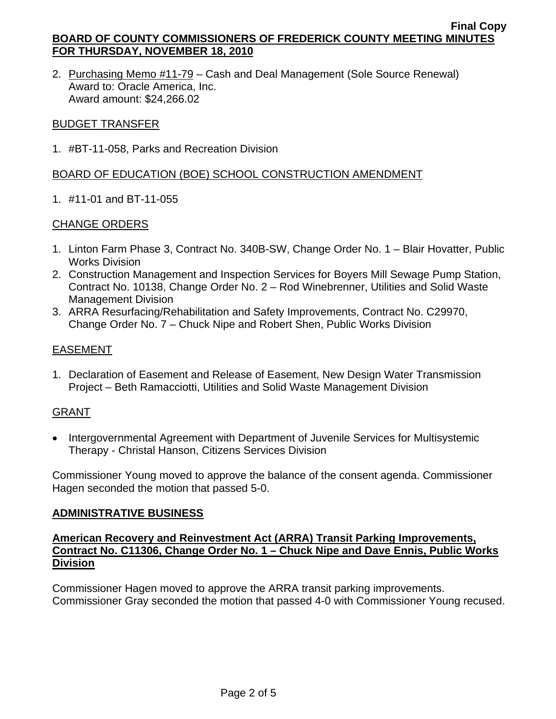2. Purchasing Memo #11-79 - Cash and Deal Management (Sole Source Renewal) Award to: Oracle America, Inc. Award amount: \$24,266.02

### BUDGET TRANSFER

1. #BT-11-058, Parks and Recreation Division

## BOARD OF EDUCATION (BOE) SCHOOL CONSTRUCTION AMENDMENT

1. #11-01 and BT-11-055

## CHANGE ORDERS

- 1. Linton Farm Phase 3, Contract No. 340B-SW, Change Order No. 1 Blair Hovatter, Public Works Division
- 2. Construction Management and Inspection Services for Boyers Mill Sewage Pump Station, Contract No. 10138, Change Order No. 2 – Rod Winebrenner, Utilities and Solid Waste Management Division
- 3. ARRA Resurfacing/Rehabilitation and Safety Improvements, Contract No. C29970, Change Order No. 7 – Chuck Nipe and Robert Shen, Public Works Division

## EASEMENT

1. Declaration of Easement and Release of Easement, New Design Water Transmission Project – Beth Ramacciotti, Utilities and Solid Waste Management Division

## GRANT

• Intergovernmental Agreement with Department of Juvenile Services for Multisystemic Therapy - Christal Hanson, Citizens Services Division

Commissioner Young moved to approve the balance of the consent agenda. Commissioner Hagen seconded the motion that passed 5-0.

#### **ADMINISTRATIVE BUSINESS**

### **American Recovery and Reinvestment Act (ARRA) Transit Parking Improvements, Contract No. C11306, Change Order No. 1 – Chuck Nipe and Dave Ennis, Public Works Division**

Commissioner Hagen moved to approve the ARRA transit parking improvements. Commissioner Gray seconded the motion that passed 4-0 with Commissioner Young recused.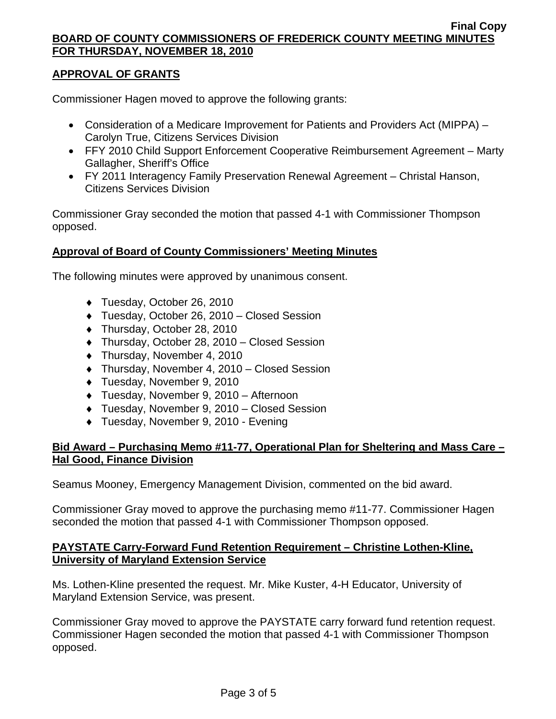# **APPROVAL OF GRANTS**

Commissioner Hagen moved to approve the following grants:

- Consideration of a Medicare Improvement for Patients and Providers Act (MIPPA) Carolyn True, Citizens Services Division
- FFY 2010 Child Support Enforcement Cooperative Reimbursement Agreement Marty Gallagher, Sheriff's Office
- FY 2011 Interagency Family Preservation Renewal Agreement Christal Hanson, Citizens Services Division

Commissioner Gray seconded the motion that passed 4-1 with Commissioner Thompson opposed.

## **Approval of Board of County Commissioners' Meeting Minutes**

The following minutes were approved by unanimous consent.

- ♦ Tuesday, October 26, 2010
- ♦ Tuesday, October 26, 2010 Closed Session
- ♦ Thursday, October 28, 2010
- ♦ Thursday, October 28, 2010 Closed Session
- ♦ Thursday, November 4, 2010
- ♦ Thursday, November 4, 2010 Closed Session
- ♦ Tuesday, November 9, 2010
- ♦ Tuesday, November 9, 2010 Afternoon
- ♦ Tuesday, November 9, 2010 Closed Session
- ♦ Tuesday, November 9, 2010 Evening

# **Bid Award – Purchasing Memo #11-77, Operational Plan for Sheltering and Mass Care – Hal Good, Finance Division**

Seamus Mooney, Emergency Management Division, commented on the bid award.

Commissioner Gray moved to approve the purchasing memo #11-77. Commissioner Hagen seconded the motion that passed 4-1 with Commissioner Thompson opposed.

## **PAYSTATE Carry-Forward Fund Retention Requirement – Christine Lothen-Kline, University of Maryland Extension Service**

Ms. Lothen-Kline presented the request. Mr. Mike Kuster, 4-H Educator, University of Maryland Extension Service, was present.

Commissioner Gray moved to approve the PAYSTATE carry forward fund retention request. Commissioner Hagen seconded the motion that passed 4-1 with Commissioner Thompson opposed.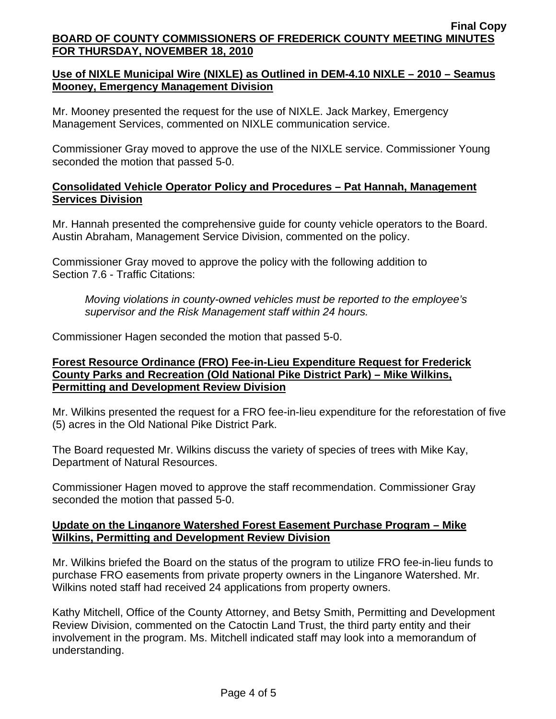# **Use of NIXLE Municipal Wire (NIXLE) as Outlined in DEM-4.10 NIXLE – 2010 – Seamus Mooney, Emergency Management Division**

Mr. Mooney presented the request for the use of NIXLE. Jack Markey, Emergency Management Services, commented on NIXLE communication service.

Commissioner Gray moved to approve the use of the NIXLE service. Commissioner Young seconded the motion that passed 5-0.

## **Consolidated Vehicle Operator Policy and Procedures – Pat Hannah, Management Services Division**

Mr. Hannah presented the comprehensive guide for county vehicle operators to the Board. Austin Abraham, Management Service Division, commented on the policy.

Commissioner Gray moved to approve the policy with the following addition to Section 7.6 - Traffic Citations:

*Moving violations in county-owned vehicles must be reported to the employee's supervisor and the Risk Management staff within 24 hours.* 

Commissioner Hagen seconded the motion that passed 5-0.

## **Forest Resource Ordinance (FRO) Fee-in-Lieu Expenditure Request for Frederick County Parks and Recreation (Old National Pike District Park) – Mike Wilkins, Permitting and Development Review Division**

Mr. Wilkins presented the request for a FRO fee-in-lieu expenditure for the reforestation of five (5) acres in the Old National Pike District Park.

The Board requested Mr. Wilkins discuss the variety of species of trees with Mike Kay, Department of Natural Resources.

Commissioner Hagen moved to approve the staff recommendation. Commissioner Gray seconded the motion that passed 5-0.

### **Update on the Linganore Watershed Forest Easement Purchase Program – Mike Wilkins, Permitting and Development Review Division**

Mr. Wilkins briefed the Board on the status of the program to utilize FRO fee-in-lieu funds to purchase FRO easements from private property owners in the Linganore Watershed. Mr. Wilkins noted staff had received 24 applications from property owners.

Kathy Mitchell, Office of the County Attorney, and Betsy Smith, Permitting and Development Review Division, commented on the Catoctin Land Trust, the third party entity and their involvement in the program. Ms. Mitchell indicated staff may look into a memorandum of understanding.